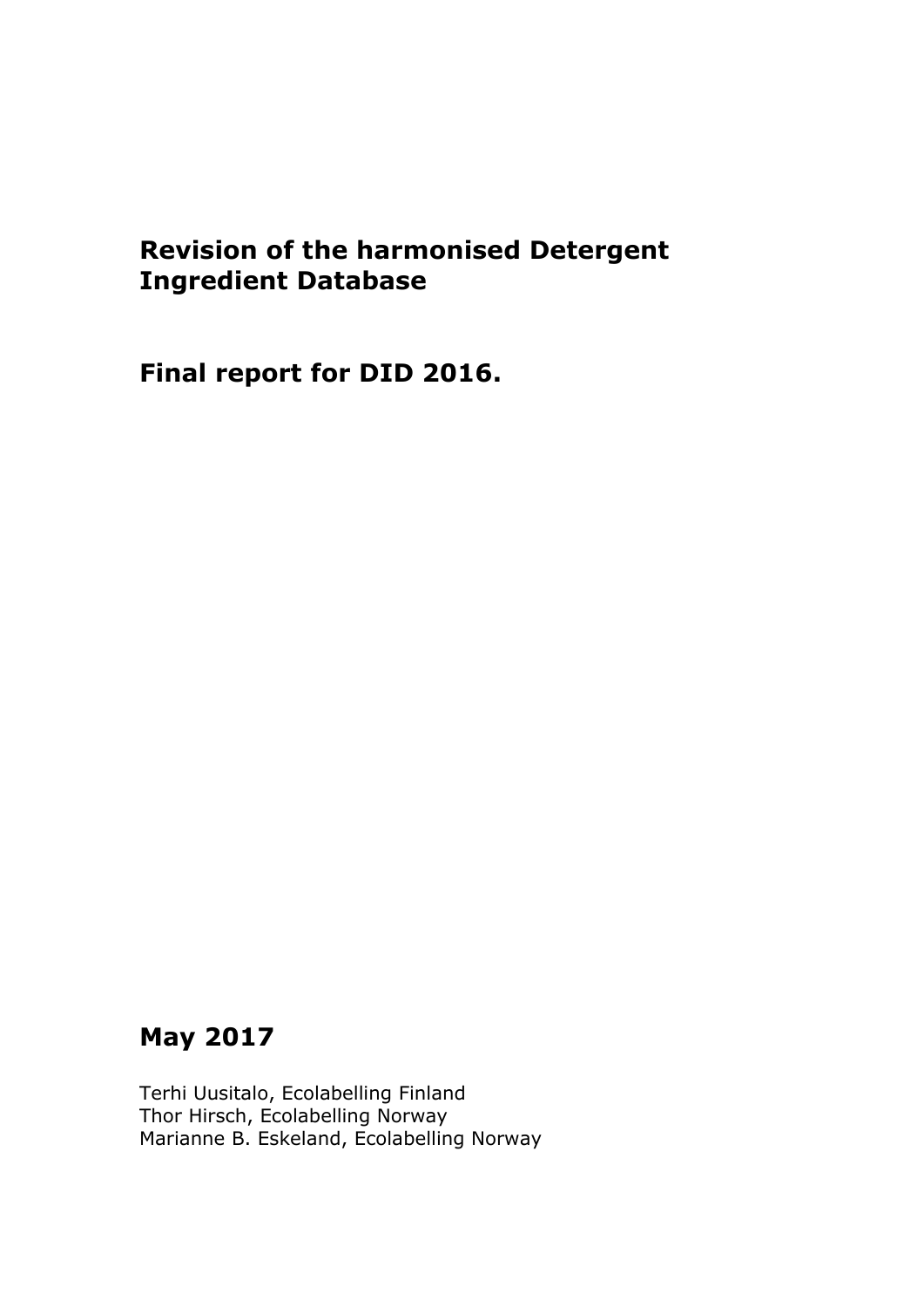# **Revision of the harmonised Detergent Ingredient Database**

**Final report for DID 2016.**

# **May 2017**

Terhi Uusitalo, Ecolabelling Finland Thor Hirsch, Ecolabelling Norway Marianne B. Eskeland, Ecolabelling Norway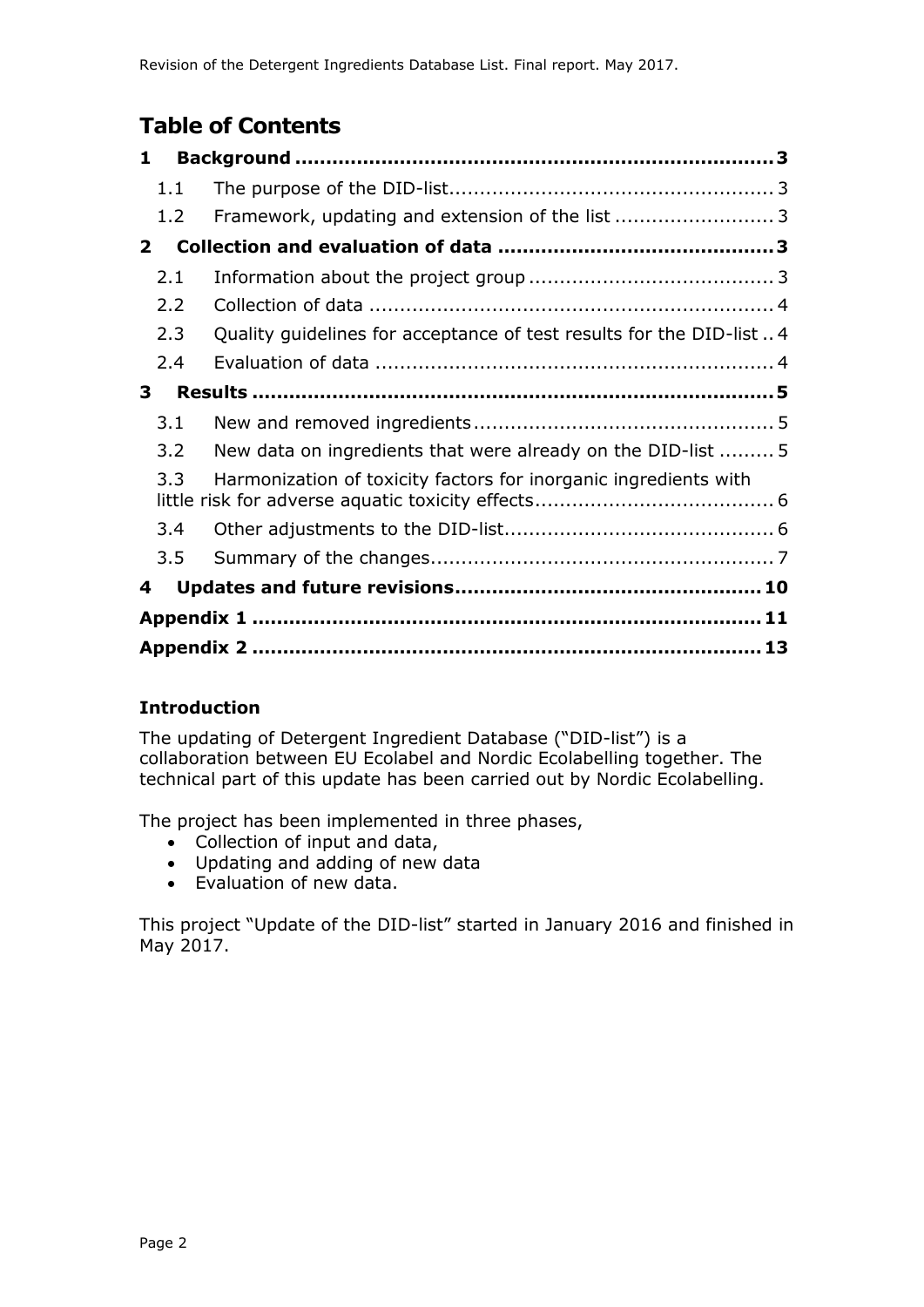## **Table of Contents**

| $\mathbf{1}$ |                                                                      |
|--------------|----------------------------------------------------------------------|
| 1.1          |                                                                      |
| 1.2          |                                                                      |
| $\mathbf{2}$ |                                                                      |
| 2.1          |                                                                      |
| 2.2          |                                                                      |
| 2.3          | Quality guidelines for acceptance of test results for the DID-list 4 |
| 2.4          |                                                                      |
| 3            |                                                                      |
| 3.1          |                                                                      |
| 3.2          | New data on ingredients that were already on the DID-list  5         |
| 3.3          | Harmonization of toxicity factors for inorganic ingredients with     |
| 3.4          |                                                                      |
| 3.5          |                                                                      |
| 4            |                                                                      |
|              |                                                                      |
|              |                                                                      |

## **Introduction**

The updating of Detergent Ingredient Database ("DID-list") is a collaboration between EU Ecolabel and Nordic Ecolabelling together. The technical part of this update has been carried out by Nordic Ecolabelling.

The project has been implemented in three phases,

- Collection of input and data,
- Updating and adding of new data
- Evaluation of new data.

This project "Update of the DID-list" started in January 2016 and finished in May 2017.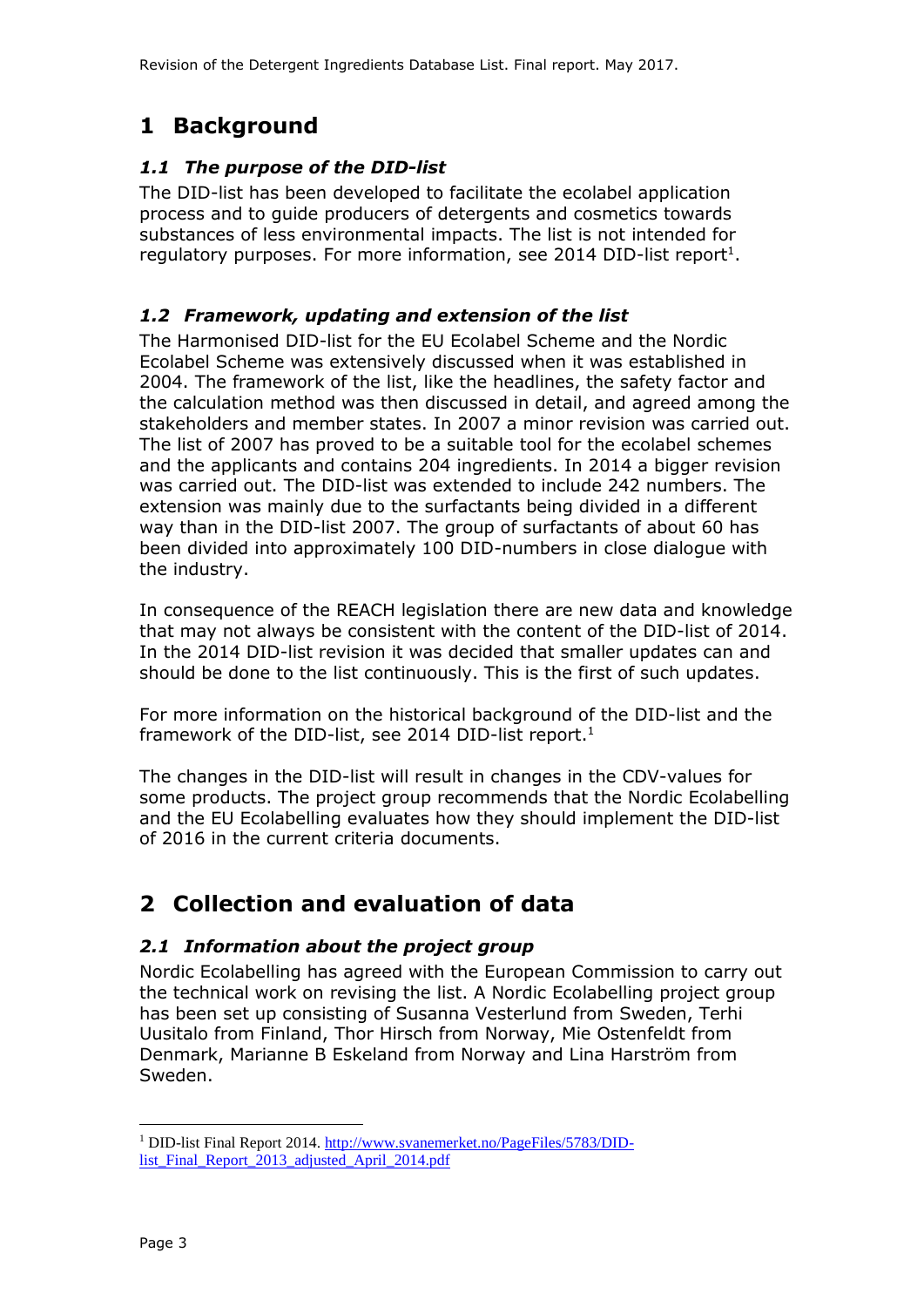## **1 Background**

### *1.1 The purpose of the DID-list*

The DID-list has been developed to facilitate the ecolabel application process and to guide producers of detergents and cosmetics towards substances of less environmental impacts. The list is not intended for regulatory purposes. For more information, see 2014 DID-list report<sup>1</sup>.

### *1.2 Framework, updating and extension of the list*

The Harmonised DID-list for the EU Ecolabel Scheme and the Nordic Ecolabel Scheme was extensively discussed when it was established in 2004. The framework of the list, like the headlines, the safety factor and the calculation method was then discussed in detail, and agreed among the stakeholders and member states. In 2007 a minor revision was carried out. The list of 2007 has proved to be a suitable tool for the ecolabel schemes and the applicants and contains 204 ingredients. In 2014 a bigger revision was carried out. The DID-list was extended to include 242 numbers. The extension was mainly due to the surfactants being divided in a different way than in the DID-list 2007. The group of surfactants of about 60 has been divided into approximately 100 DID-numbers in close dialogue with the industry.

In consequence of the REACH legislation there are new data and knowledge that may not always be consistent with the content of the DID-list of 2014. In the 2014 DID-list revision it was decided that smaller updates can and should be done to the list continuously. This is the first of such updates.

For more information on the historical background of the DID-list and the framework of the DID-list, see 2014 DID-list report.<sup>1</sup>

The changes in the DID-list will result in changes in the CDV-values for some products. The project group recommends that the Nordic Ecolabelling and the EU Ecolabelling evaluates how they should implement the DID-list of 2016 in the current criteria documents.

## **2 Collection and evaluation of data**

### *2.1 Information about the project group*

Nordic Ecolabelling has agreed with the European Commission to carry out the technical work on revising the list. A Nordic Ecolabelling project group has been set up consisting of Susanna Vesterlund from Sweden, Terhi Uusitalo from Finland, Thor Hirsch from Norway, Mie Ostenfeldt from Denmark, Marianne B Eskeland from Norway and Lina Harström from Sweden.

j <sup>1</sup> DID-list Final Report 2014. [http://www.svanemerket.no/PageFiles/5783/DID](http://www.svanemerket.no/PageFiles/5783/DID-list_Final_Report_2013_adjusted_April_2014.pdf)[list\\_Final\\_Report\\_2013\\_adjusted\\_April\\_2014.pdf](http://www.svanemerket.no/PageFiles/5783/DID-list_Final_Report_2013_adjusted_April_2014.pdf)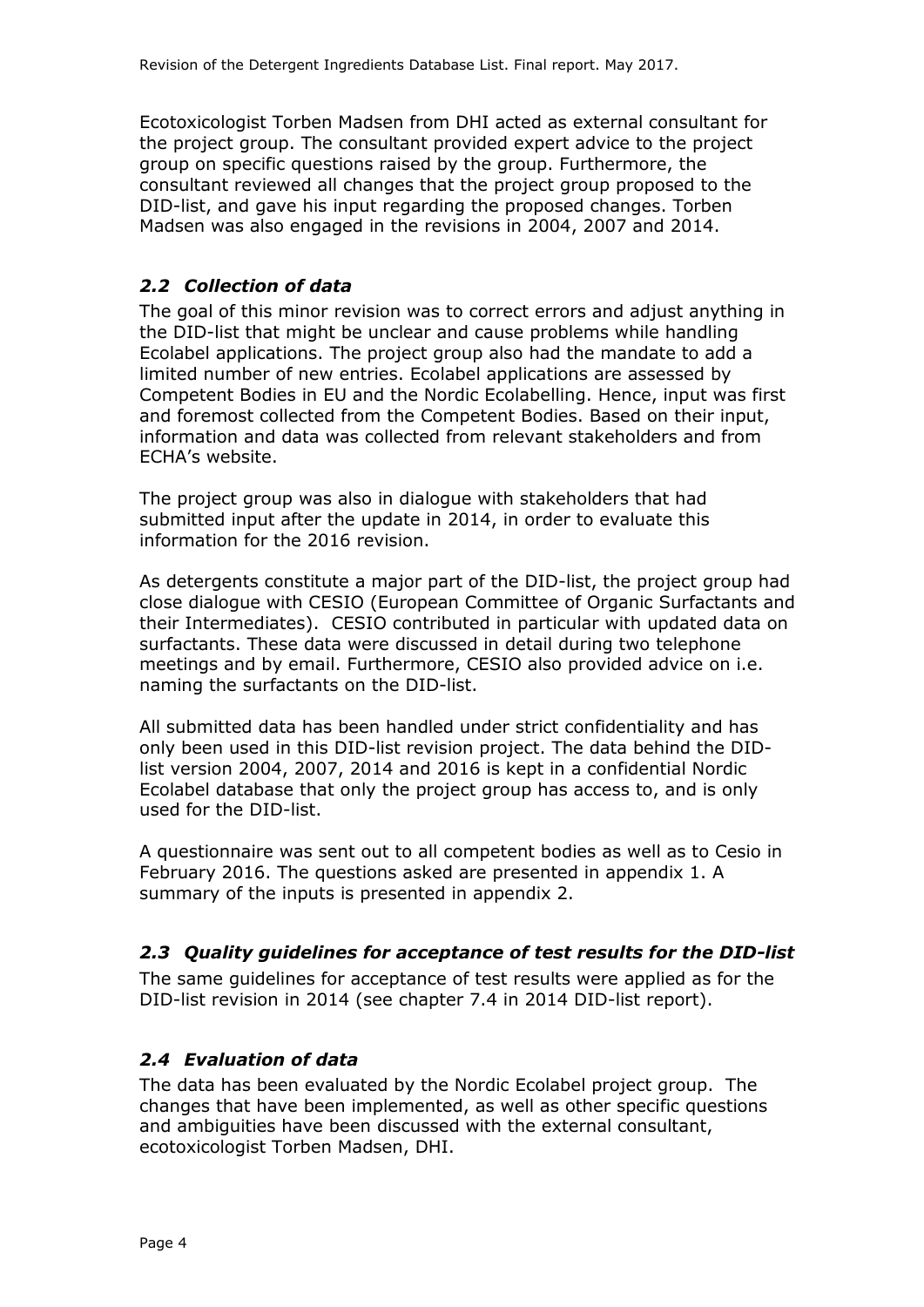Ecotoxicologist Torben Madsen from DHI acted as external consultant for the project group. The consultant provided expert advice to the project group on specific questions raised by the group. Furthermore, the consultant reviewed all changes that the project group proposed to the DID-list, and gave his input regarding the proposed changes. Torben Madsen was also engaged in the revisions in 2004, 2007 and 2014.

### *2.2 Collection of data*

The goal of this minor revision was to correct errors and adjust anything in the DID-list that might be unclear and cause problems while handling Ecolabel applications. The project group also had the mandate to add a limited number of new entries. Ecolabel applications are assessed by Competent Bodies in EU and the Nordic Ecolabelling. Hence, input was first and foremost collected from the Competent Bodies. Based on their input, information and data was collected from relevant stakeholders and from ECHA's website.

The project group was also in dialogue with stakeholders that had submitted input after the update in 2014, in order to evaluate this information for the 2016 revision.

As detergents constitute a major part of the DID-list, the project group had close dialogue with CESIO (European Committee of Organic Surfactants and their Intermediates). CESIO contributed in particular with updated data on surfactants. These data were discussed in detail during two telephone meetings and by email. Furthermore, CESIO also provided advice on i.e. naming the surfactants on the DID-list.

All submitted data has been handled under strict confidentiality and has only been used in this DID-list revision project. The data behind the DIDlist version 2004, 2007, 2014 and 2016 is kept in a confidential Nordic Ecolabel database that only the project group has access to, and is only used for the DID-list.

A questionnaire was sent out to all competent bodies as well as to Cesio in February 2016. The questions asked are presented in appendix 1. A summary of the inputs is presented in appendix 2.

### *2.3 Quality guidelines for acceptance of test results for the DID-list*

The same guidelines for acceptance of test results were applied as for the DID-list revision in 2014 (see chapter 7.4 in 2014 DID-list report).

### *2.4 Evaluation of data*

The data has been evaluated by the Nordic Ecolabel project group. The changes that have been implemented, as well as other specific questions and ambiguities have been discussed with the external consultant, ecotoxicologist Torben Madsen, DHI.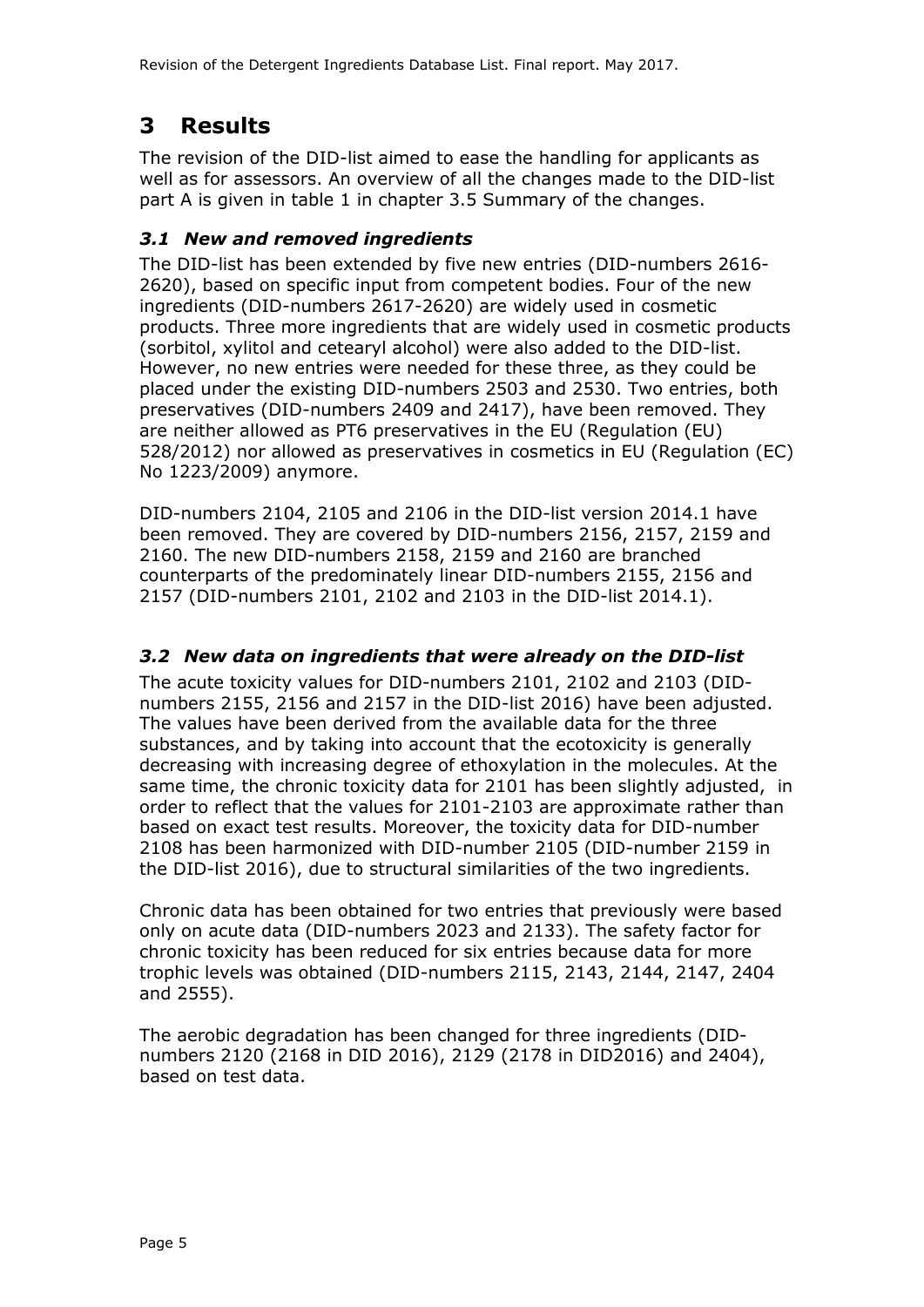## **3 Results**

The revision of the DID-list aimed to ease the handling for applicants as well as for assessors. An overview of all the changes made to the DID-list part A is given in table 1 in chapter 3.5 Summary of the changes.

### *3.1 New and removed ingredients*

The DID-list has been extended by five new entries (DID-numbers 2616- 2620), based on specific input from competent bodies. Four of the new ingredients (DID-numbers 2617-2620) are widely used in cosmetic products. Three more ingredients that are widely used in cosmetic products (sorbitol, xylitol and cetearyl alcohol) were also added to the DID-list. However, no new entries were needed for these three, as they could be placed under the existing DID-numbers 2503 and 2530. Two entries, both preservatives (DID-numbers 2409 and 2417), have been removed. They are neither allowed as PT6 preservatives in the EU (Regulation (EU) 528/2012) nor allowed as preservatives in cosmetics in EU (Regulation (EC) No 1223/2009) anymore.

DID-numbers 2104, 2105 and 2106 in the DID-list version 2014.1 have been removed. They are covered by DID-numbers 2156, 2157, 2159 and 2160. The new DID-numbers 2158, 2159 and 2160 are branched counterparts of the predominately linear DID-numbers 2155, 2156 and 2157 (DID-numbers 2101, 2102 and 2103 in the DID-list 2014.1).

## *3.2 New data on ingredients that were already on the DID-list*

The acute toxicity values for DID-numbers 2101, 2102 and 2103 (DIDnumbers 2155, 2156 and 2157 in the DID-list 2016) have been adjusted. The values have been derived from the available data for the three substances, and by taking into account that the ecotoxicity is generally decreasing with increasing degree of ethoxylation in the molecules. At the same time, the chronic toxicity data for 2101 has been slightly adjusted, in order to reflect that the values for 2101-2103 are approximate rather than based on exact test results. Moreover, the toxicity data for DID-number 2108 has been harmonized with DID-number 2105 (DID-number 2159 in the DID-list 2016), due to structural similarities of the two ingredients.

Chronic data has been obtained for two entries that previously were based only on acute data (DID-numbers 2023 and 2133). The safety factor for chronic toxicity has been reduced for six entries because data for more trophic levels was obtained (DID-numbers 2115, 2143, 2144, 2147, 2404 and 2555).

The aerobic degradation has been changed for three ingredients (DIDnumbers 2120 (2168 in DID 2016), 2129 (2178 in DID2016) and 2404), based on test data.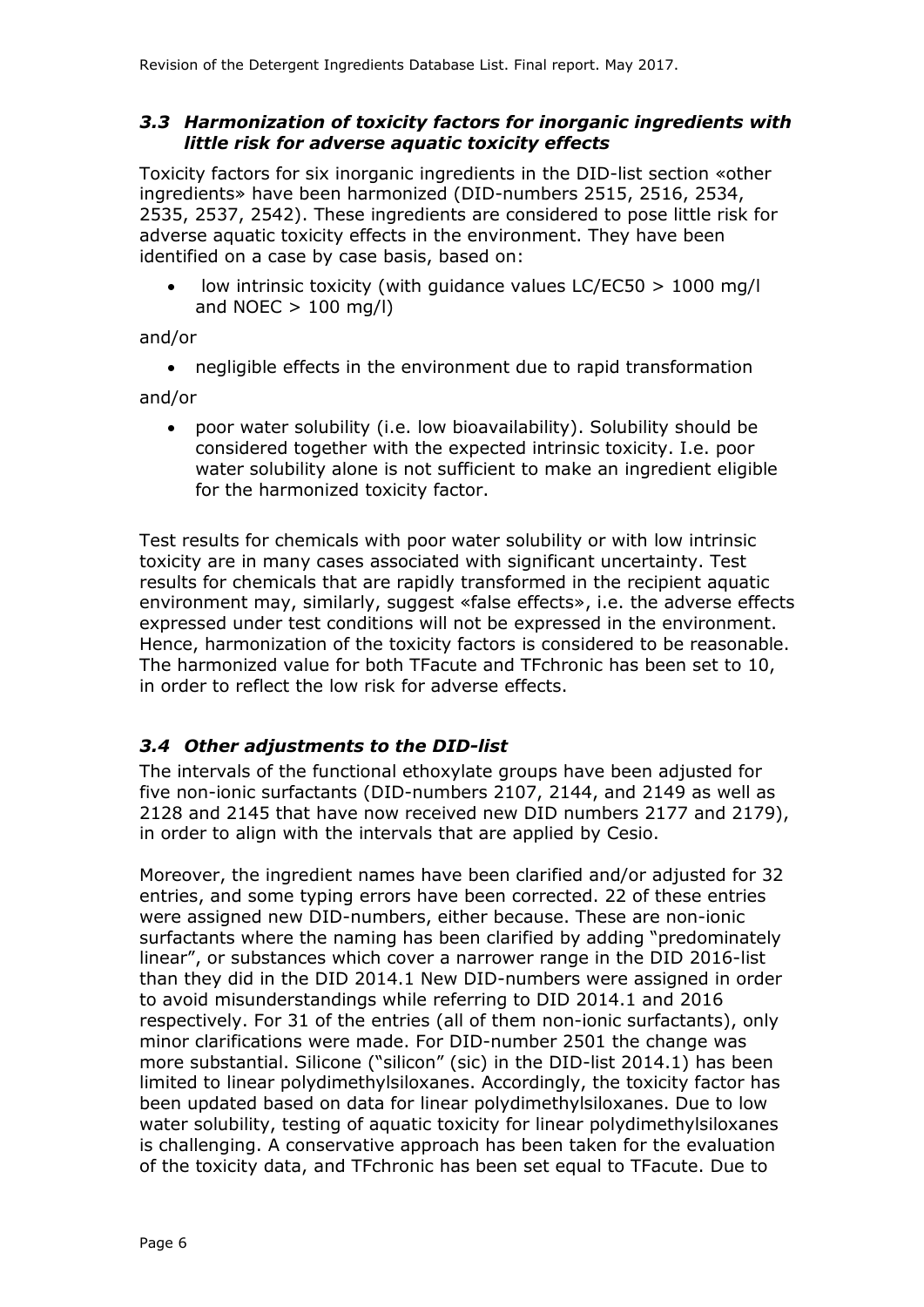### *3.3 Harmonization of toxicity factors for inorganic ingredients with little risk for adverse aquatic toxicity effects*

Toxicity factors for six inorganic ingredients in the DID-list section «other ingredients» have been harmonized (DID-numbers 2515, 2516, 2534, 2535, 2537, 2542). These ingredients are considered to pose little risk for adverse aquatic toxicity effects in the environment. They have been identified on a case by case basis, based on:

 low intrinsic toxicity (with guidance values LC/EC50 > 1000 mg/l and NOEC  $> 100$  mg/l)

and/or

negligible effects in the environment due to rapid transformation

and/or

 poor water solubility (i.e. low bioavailability). Solubility should be considered together with the expected intrinsic toxicity. I.e. poor water solubility alone is not sufficient to make an ingredient eligible for the harmonized toxicity factor.

Test results for chemicals with poor water solubility or with low intrinsic toxicity are in many cases associated with significant uncertainty. Test results for chemicals that are rapidly transformed in the recipient aquatic environment may, similarly, suggest «false effects», i.e. the adverse effects expressed under test conditions will not be expressed in the environment. Hence, harmonization of the toxicity factors is considered to be reasonable. The harmonized value for both TFacute and TFchronic has been set to 10, in order to reflect the low risk for adverse effects.

### *3.4 Other adjustments to the DID-list*

The intervals of the functional ethoxylate groups have been adjusted for five non-ionic surfactants (DID-numbers 2107, 2144, and 2149 as well as 2128 and 2145 that have now received new DID numbers 2177 and 2179), in order to align with the intervals that are applied by Cesio.

Moreover, the ingredient names have been clarified and/or adjusted for 32 entries, and some typing errors have been corrected. 22 of these entries were assigned new DID-numbers, either because. These are non-ionic surfactants where the naming has been clarified by adding "predominately linear", or substances which cover a narrower range in the DID 2016-list than they did in the DID 2014.1 New DID-numbers were assigned in order to avoid misunderstandings while referring to DID 2014.1 and 2016 respectively. For 31 of the entries (all of them non-ionic surfactants), only minor clarifications were made. For DID-number 2501 the change was more substantial. Silicone ("silicon" (sic) in the DID-list 2014.1) has been limited to linear polydimethylsiloxanes. Accordingly, the toxicity factor has been updated based on data for linear polydimethylsiloxanes. Due to low water solubility, testing of aquatic toxicity for linear polydimethylsiloxanes is challenging. A conservative approach has been taken for the evaluation of the toxicity data, and TFchronic has been set equal to TFacute. Due to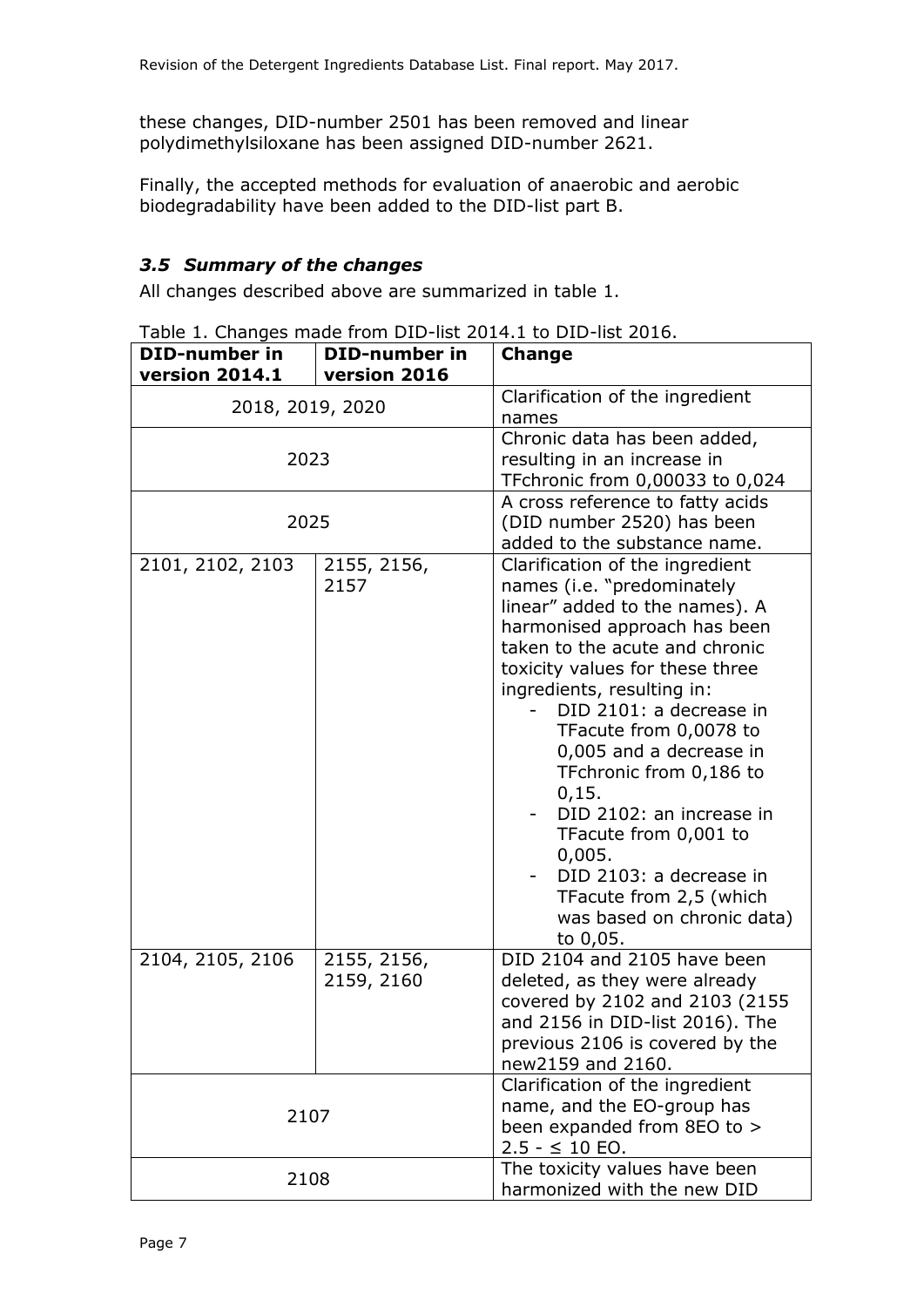these changes, DID-number 2501 has been removed and linear polydimethylsiloxane has been assigned DID-number 2621.

Finally, the accepted methods for evaluation of anaerobic and aerobic biodegradability have been added to the DID-list part B.

### *3.5 Summary of the changes*

All changes described above are summarized in table 1.

Table 1. Changes made from DID-list 2014.1 to DID-list 2016.

| <b>DID-number in</b><br><b>version 2014.1</b> | <b>DID-number in</b><br>version 2016 | Change                                                                                                                                                                                                                                                                                                                                                                                                                                                                                                                |  |  |  |  |
|-----------------------------------------------|--------------------------------------|-----------------------------------------------------------------------------------------------------------------------------------------------------------------------------------------------------------------------------------------------------------------------------------------------------------------------------------------------------------------------------------------------------------------------------------------------------------------------------------------------------------------------|--|--|--|--|
| 2018, 2019, 2020                              |                                      | Clarification of the ingredient<br>names                                                                                                                                                                                                                                                                                                                                                                                                                                                                              |  |  |  |  |
| 2023                                          |                                      | Chronic data has been added,<br>resulting in an increase in<br>TFchronic from 0,00033 to 0,024                                                                                                                                                                                                                                                                                                                                                                                                                        |  |  |  |  |
| 2025                                          |                                      | A cross reference to fatty acids<br>(DID number 2520) has been<br>added to the substance name.                                                                                                                                                                                                                                                                                                                                                                                                                        |  |  |  |  |
| 2101, 2102, 2103                              | 2155, 2156,<br>2157                  | Clarification of the ingredient<br>names (i.e. "predominately<br>linear" added to the names). A<br>harmonised approach has been<br>taken to the acute and chronic<br>toxicity values for these three<br>ingredients, resulting in:<br>DID 2101: a decrease in<br>TFacute from 0,0078 to<br>0,005 and a decrease in<br>TFchronic from 0,186 to<br>0,15.<br>DID 2102: an increase in<br>TFacute from 0,001 to<br>0,005.<br>DID 2103: a decrease in<br>TFacute from 2,5 (which<br>was based on chronic data)<br>to 0,05. |  |  |  |  |
| 2104, 2105, 2106                              | 2155, 2156,<br>2159, 2160            | DID 2104 and 2105 have been<br>deleted, as they were already<br>covered by 2102 and 2103 (2155<br>and 2156 in DID-list 2016). The<br>previous 2106 is covered by the<br>new2159 and 2160.                                                                                                                                                                                                                                                                                                                             |  |  |  |  |
| 2107                                          |                                      | Clarification of the ingredient<br>name, and the EO-group has<br>been expanded from 8EO to ><br>$2.5 - 510$ EO.                                                                                                                                                                                                                                                                                                                                                                                                       |  |  |  |  |
| 2108                                          |                                      | The toxicity values have been<br>harmonized with the new DID                                                                                                                                                                                                                                                                                                                                                                                                                                                          |  |  |  |  |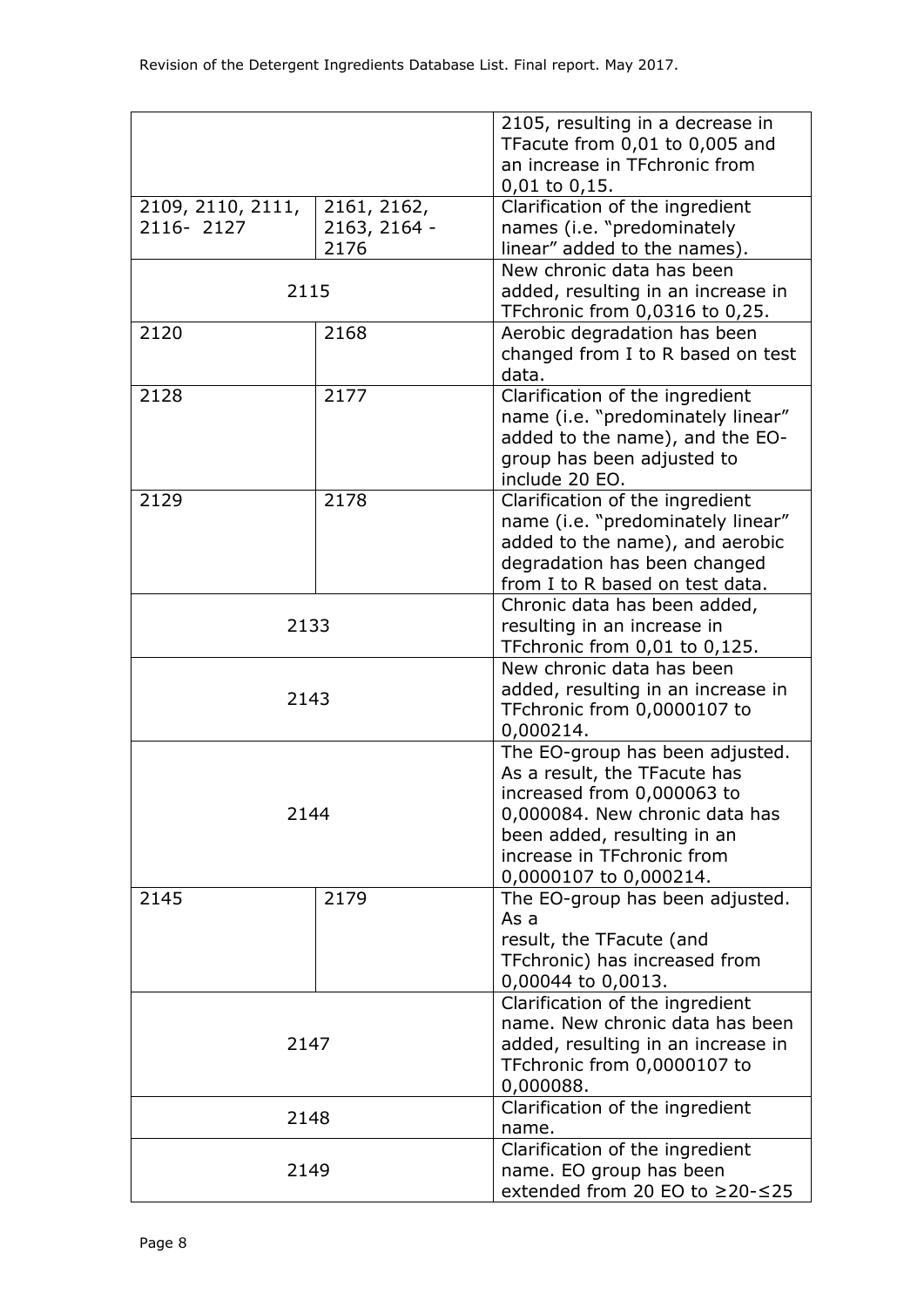|                                |                                     | 2105, resulting in a decrease in<br>TFacute from 0,01 to 0,005 and<br>an increase in TFchronic from<br>$0,01$ to $0,15$ .                                                                                                                                                                                                             |  |  |  |  |
|--------------------------------|-------------------------------------|---------------------------------------------------------------------------------------------------------------------------------------------------------------------------------------------------------------------------------------------------------------------------------------------------------------------------------------|--|--|--|--|
| 2109, 2110, 2111,<br>2116-2127 | 2161, 2162,<br>2163, 2164 -<br>2176 | Clarification of the ingredient<br>names (i.e. "predominately<br>linear" added to the names).                                                                                                                                                                                                                                         |  |  |  |  |
| 2115                           |                                     | New chronic data has been<br>added, resulting in an increase in<br>TFchronic from 0,0316 to 0,25.                                                                                                                                                                                                                                     |  |  |  |  |
| 2120                           | 2168                                | Aerobic degradation has been<br>changed from I to R based on test<br>data.                                                                                                                                                                                                                                                            |  |  |  |  |
| 2128                           | 2177                                | Clarification of the ingredient<br>name (i.e. "predominately linear"<br>added to the name), and the EO-<br>group has been adjusted to<br>include 20 EO.                                                                                                                                                                               |  |  |  |  |
| 2129                           | 2178                                | Clarification of the ingredient<br>name (i.e. "predominately linear"<br>added to the name), and aerobic<br>degradation has been changed<br>from I to R based on test data.                                                                                                                                                            |  |  |  |  |
| 2133                           |                                     | Chronic data has been added,<br>resulting in an increase in<br>TFchronic from 0,01 to 0,125.                                                                                                                                                                                                                                          |  |  |  |  |
| 2143                           |                                     | New chronic data has been<br>added, resulting in an increase in<br>TFchronic from 0,0000107 to<br>0,000214.<br>The EO-group has been adjusted.<br>As a result, the TFacute has<br>increased from 0,000063 to<br>0,000084. New chronic data has<br>been added, resulting in an<br>increase in TFchronic from<br>0,0000107 to 0,000214. |  |  |  |  |
| 2144                           |                                     |                                                                                                                                                                                                                                                                                                                                       |  |  |  |  |
| 2145                           | 2179                                | The EO-group has been adjusted.<br>As a<br>result, the TFacute (and<br>TFchronic) has increased from<br>0,00044 to 0,0013.                                                                                                                                                                                                            |  |  |  |  |
| 2147                           |                                     | Clarification of the ingredient<br>name. New chronic data has been<br>added, resulting in an increase in<br>TFchronic from 0,0000107 to<br>0,000088.                                                                                                                                                                                  |  |  |  |  |
| 2148                           |                                     | Clarification of the ingredient<br>name.                                                                                                                                                                                                                                                                                              |  |  |  |  |
| 2149                           |                                     | Clarification of the ingredient<br>name. EO group has been<br>extended from 20 EO to ≥20-≤25                                                                                                                                                                                                                                          |  |  |  |  |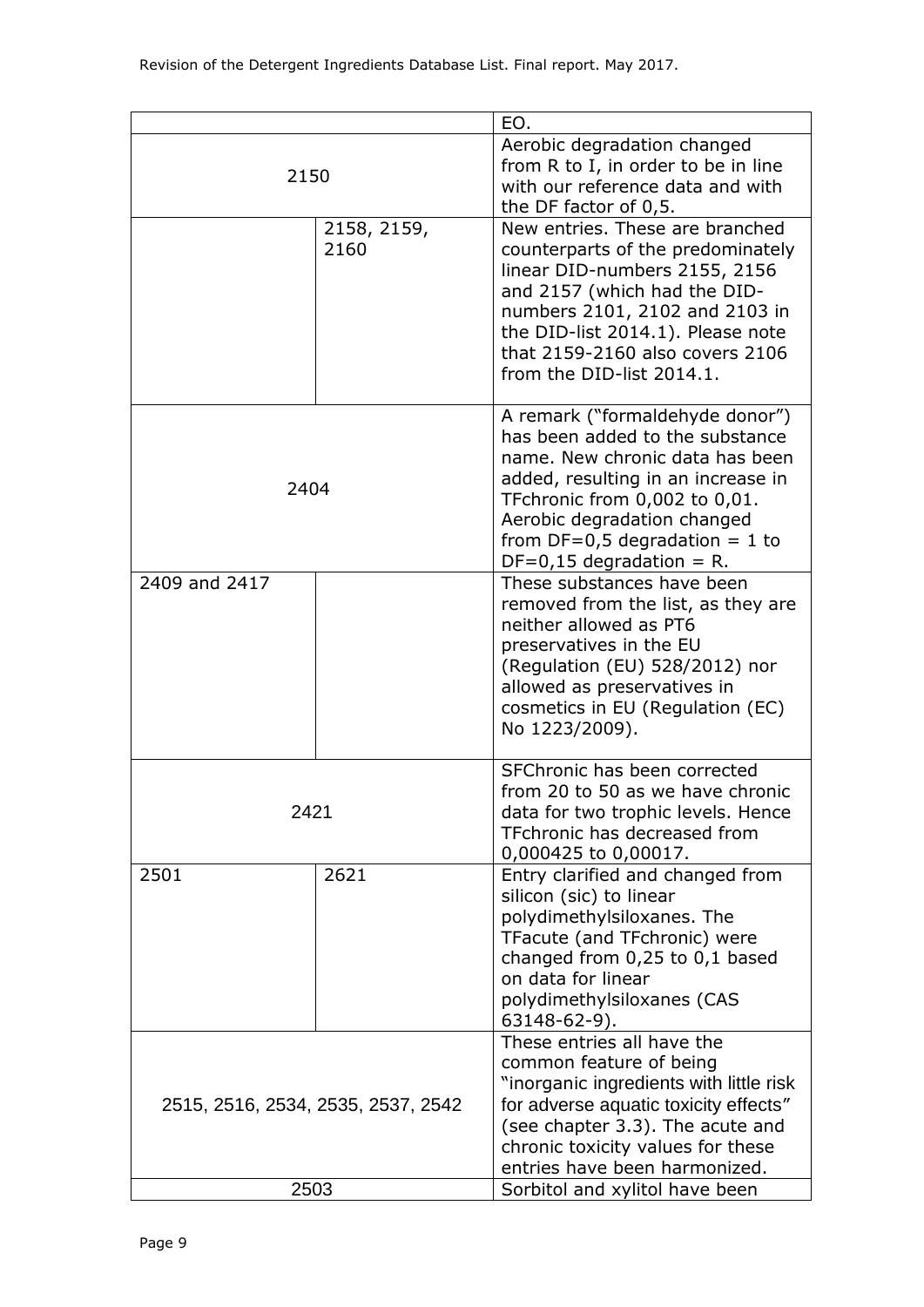|                                            |                                                                                                                                                                                                                                                                               | EO.                                                                                                                                                                                                                                                                                   |  |  |  |
|--------------------------------------------|-------------------------------------------------------------------------------------------------------------------------------------------------------------------------------------------------------------------------------------------------------------------------------|---------------------------------------------------------------------------------------------------------------------------------------------------------------------------------------------------------------------------------------------------------------------------------------|--|--|--|
| 2150                                       |                                                                                                                                                                                                                                                                               | Aerobic degradation changed<br>from R to I, in order to be in line<br>with our reference data and with<br>the DF factor of 0,5.                                                                                                                                                       |  |  |  |
|                                            | 2158, 2159,<br>2160                                                                                                                                                                                                                                                           | New entries. These are branched<br>counterparts of the predominately<br>linear DID-numbers 2155, 2156<br>and 2157 (which had the DID-<br>numbers 2101, 2102 and 2103 in<br>the DID-list 2014.1). Please note<br>that 2159-2160 also covers 2106<br>from the DID-list 2014.1.          |  |  |  |
| 2404                                       | A remark ("formaldehyde donor")<br>has been added to the substance<br>name. New chronic data has been<br>added, resulting in an increase in<br>TFchronic from 0,002 to 0,01.<br>Aerobic degradation changed<br>from $DF=0.5$ degradation = 1 to<br>$DF=0,15$ degradation = R. |                                                                                                                                                                                                                                                                                       |  |  |  |
| 2409 and 2417                              |                                                                                                                                                                                                                                                                               | These substances have been<br>removed from the list, as they are<br>neither allowed as PT6<br>preservatives in the EU<br>(Regulation (EU) 528/2012) nor<br>allowed as preservatives in<br>cosmetics in EU (Regulation (EC)<br>No 1223/2009).                                          |  |  |  |
| 2421                                       |                                                                                                                                                                                                                                                                               | SFChronic has been corrected<br>from 20 to 50 as we have chronic<br>data for two trophic levels. Hence<br>TFchronic has decreased from<br>0,000425 to 0,00017.                                                                                                                        |  |  |  |
| 2501                                       | 2621                                                                                                                                                                                                                                                                          | Entry clarified and changed from<br>silicon (sic) to linear<br>polydimethylsiloxanes. The<br>TFacute (and TFchronic) were<br>changed from 0,25 to 0,1 based<br>on data for linear<br>polydimethylsiloxanes (CAS<br>63148-62-9).                                                       |  |  |  |
| 2515, 2516, 2534, 2535, 2537, 2542<br>2503 |                                                                                                                                                                                                                                                                               | These entries all have the<br>common feature of being<br>"inorganic ingredients with little risk<br>for adverse aquatic toxicity effects"<br>(see chapter 3.3). The acute and<br>chronic toxicity values for these<br>entries have been harmonized.<br>Sorbitol and xylitol have been |  |  |  |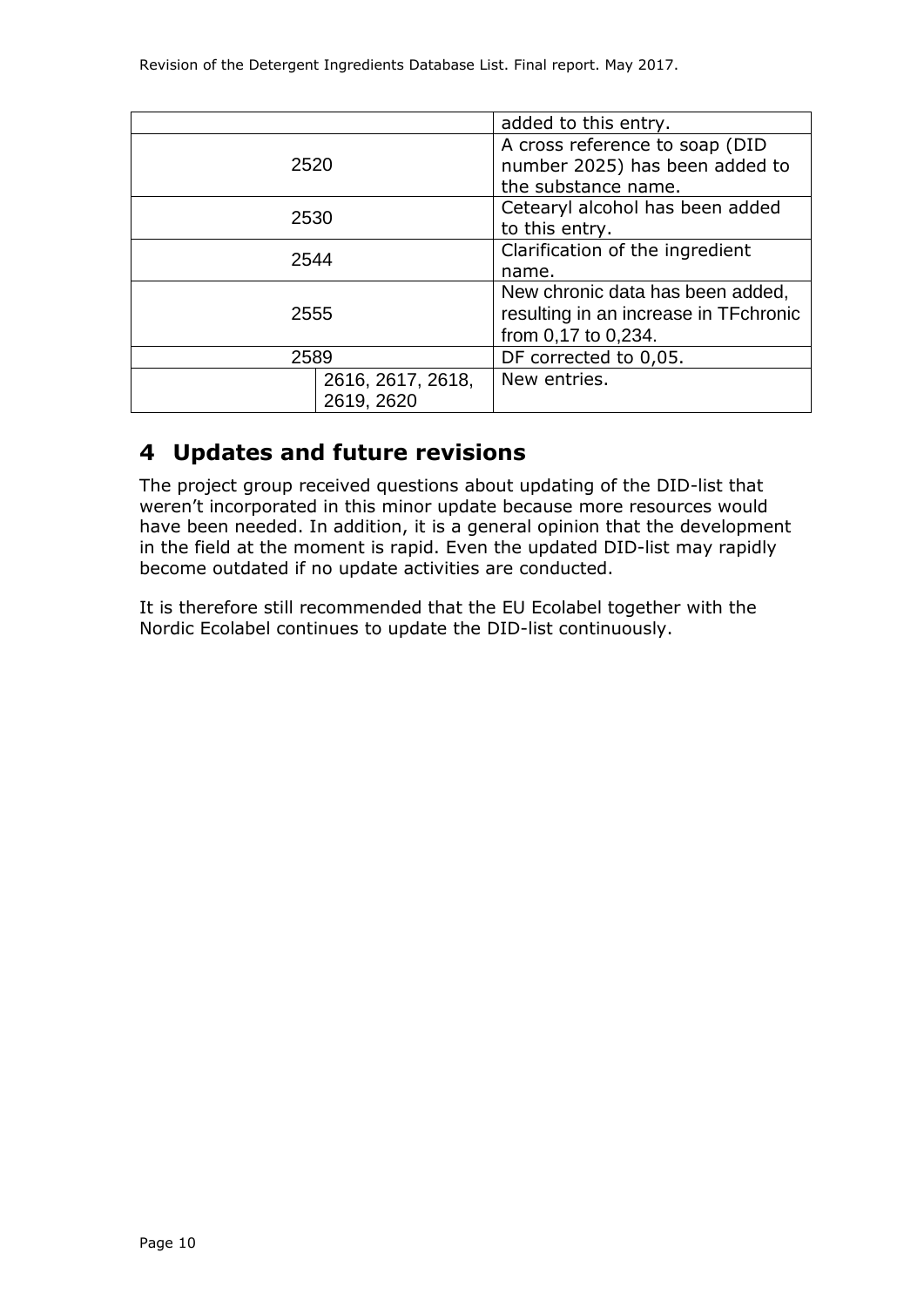|                                 | added to this entry.                                                                             |  |  |  |
|---------------------------------|--------------------------------------------------------------------------------------------------|--|--|--|
| 2520                            | A cross reference to soap (DID<br>number 2025) has been added to<br>the substance name.          |  |  |  |
| 2530                            | Cetearyl alcohol has been added<br>to this entry.                                                |  |  |  |
| 2544                            | Clarification of the ingredient<br>name.                                                         |  |  |  |
| 2555                            | New chronic data has been added,<br>resulting in an increase in TFchronic<br>from 0,17 to 0,234. |  |  |  |
| 2589                            | DF corrected to 0,05.                                                                            |  |  |  |
| 2616, 2617, 2618,<br>2619, 2620 | New entries.                                                                                     |  |  |  |

## **4 Updates and future revisions**

The project group received questions about updating of the DID-list that weren't incorporated in this minor update because more resources would have been needed. In addition, it is a general opinion that the development in the field at the moment is rapid. Even the updated DID-list may rapidly become outdated if no update activities are conducted.

It is therefore still recommended that the EU Ecolabel together with the Nordic Ecolabel continues to update the DID-list continuously.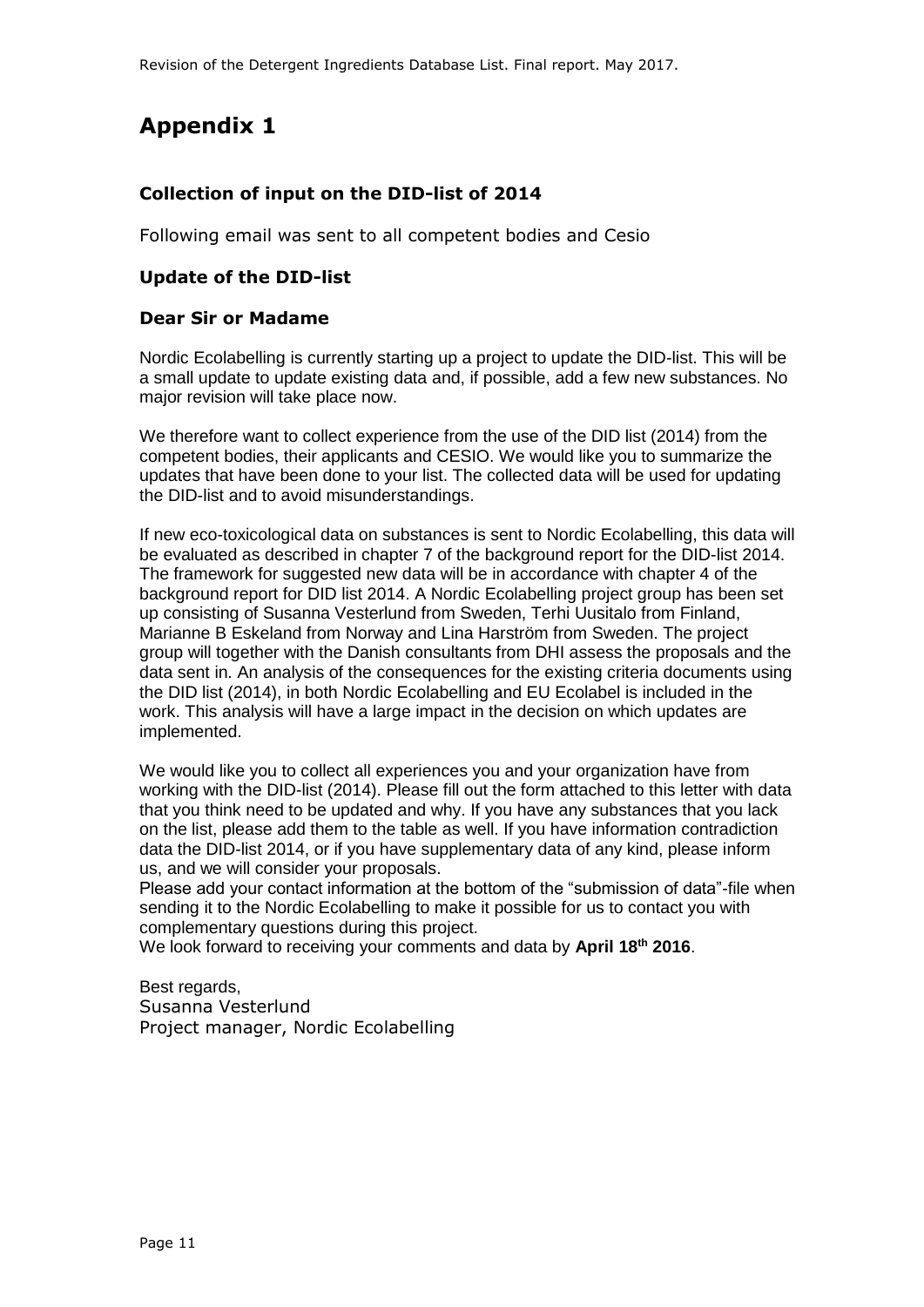## **Appendix 1**

### **Collection of input on the DID-list of 2014**

Following email was sent to all competent bodies and Cesio

#### **Update of the DID-list**

#### **Dear Sir or Madame**

Nordic Ecolabelling is currently starting up a project to update the DID-list. This will be a small update to update existing data and, if possible, add a few new substances. No major revision will take place now.

We therefore want to collect experience from the use of the DID list (2014) from the competent bodies, their applicants and CESIO. We would like you to summarize the updates that have been done to your list. The collected data will be used for updating the DID-list and to avoid misunderstandings.

If new eco-toxicological data on substances is sent to Nordic Ecolabelling, this data will be evaluated as described in chapter 7 of the background report for the DID-list 2014. The framework for suggested new data will be in accordance with chapter 4 of the background report for DID list 2014. A Nordic Ecolabelling project group has been set up consisting of Susanna Vesterlund from Sweden, Terhi Uusitalo from Finland, Marianne B Eskeland from Norway and Lina Harström from Sweden. The project group will together with the Danish consultants from DHI assess the proposals and the data sent in. An analysis of the consequences for the existing criteria documents using the DID list (2014), in both Nordic Ecolabelling and EU Ecolabel is included in the work. This analysis will have a large impact in the decision on which updates are implemented.

We would like you to collect all experiences you and your organization have from working with the DID-list (2014). Please fill out the form attached to this letter with data that you think need to be updated and why. If you have any substances that you lack on the list, please add them to the table as well. If you have information contradiction data the DID-list 2014, or if you have supplementary data of any kind, please inform us, and we will consider your proposals.

Please add your contact information at the bottom of the "submission of data"-file when sending it to the Nordic Ecolabelling to make it possible for us to contact you with complementary questions during this project.

We look forward to receiving your comments and data by **April 18th 2016**.

Best regards, Susanna Vesterlund Project manager, Nordic Ecolabelling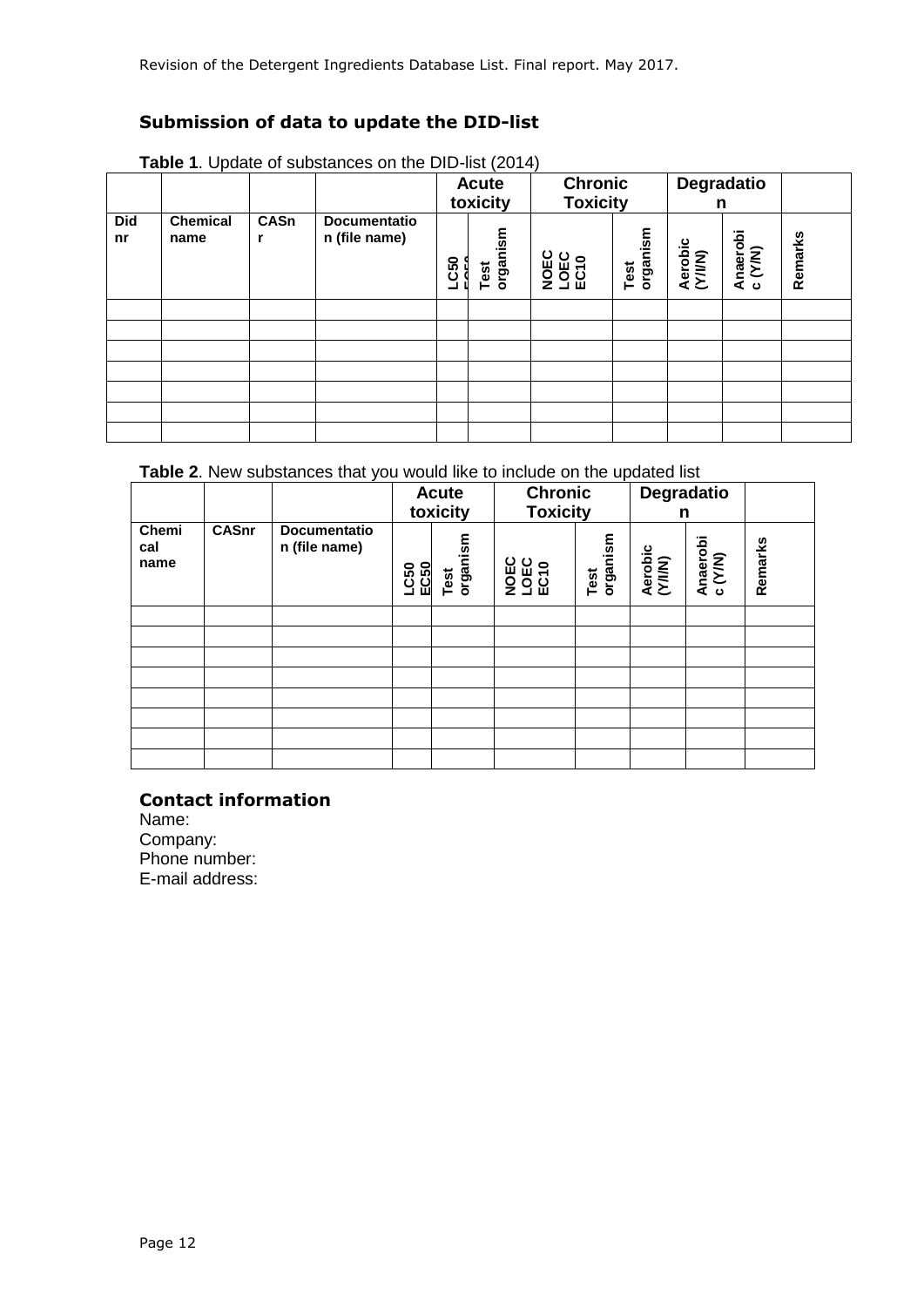### **Submission of data to update the DID-list**

|                  |                         |                  |                                      | <b>Table 1.</b> Operato of capatations off the DID flot (2011)<br><b>Acute</b><br>toxicity |                  | <b>Chronic</b><br><b>Toxicity</b> |                  | Degradatio<br>n    |                     |         |
|------------------|-------------------------|------------------|--------------------------------------|--------------------------------------------------------------------------------------------|------------------|-----------------------------------|------------------|--------------------|---------------------|---------|
| <b>Did</b><br>nr | <b>Chemical</b><br>name | <b>CASn</b><br>r | <b>Documentatio</b><br>n (file name) | <b>LC50</b>                                                                                | organism<br>Test | <b>LOEC</b><br>ECT0<br>NOE        | organism<br>Test | Aerobic<br>(Y/I/N) | Anaerobi<br>c (Y/N) | Remarks |
|                  |                         |                  |                                      |                                                                                            |                  |                                   |                  |                    |                     |         |
|                  |                         |                  |                                      |                                                                                            |                  |                                   |                  |                    |                     |         |
|                  |                         |                  |                                      |                                                                                            |                  |                                   |                  |                    |                     |         |
|                  |                         |                  |                                      |                                                                                            |                  |                                   |                  |                    |                     |         |
|                  |                         |                  |                                      |                                                                                            |                  |                                   |                  |                    |                     |         |
|                  |                         |                  |                                      |                                                                                            |                  |                                   |                  |                    |                     |         |
|                  |                         |                  |                                      |                                                                                            |                  |                                   |                  |                    |                     |         |

**Table 1**. Update of substances on the DID-list (2014)

### **Table 2**. New substances that you would like to include on the updated list

|                      |              |                                      | <b>Acute</b><br>toxicity |                  | <b>Chronic</b><br><b>Toxicity</b> |                  | Degradatio<br>n    |                     |         |
|----------------------|--------------|--------------------------------------|--------------------------|------------------|-----------------------------------|------------------|--------------------|---------------------|---------|
| Chemi<br>cal<br>name | <b>CASnr</b> | <b>Documentatio</b><br>n (file name) | EC50<br>LC50             | organism<br>Test | <b>NOEC</b><br>1950<br>ECTO       | organism<br>Test | Aerobic<br>(Y/I/N) | Anaerobi<br>c (Y/N) | Remarks |
|                      |              |                                      |                          |                  |                                   |                  |                    |                     |         |
|                      |              |                                      |                          |                  |                                   |                  |                    |                     |         |
|                      |              |                                      |                          |                  |                                   |                  |                    |                     |         |
|                      |              |                                      |                          |                  |                                   |                  |                    |                     |         |
|                      |              |                                      |                          |                  |                                   |                  |                    |                     |         |
|                      |              |                                      |                          |                  |                                   |                  |                    |                     |         |
|                      |              |                                      |                          |                  |                                   |                  |                    |                     |         |
|                      |              |                                      |                          |                  |                                   |                  |                    |                     |         |

### **Contact information**

Name: Company: Phone number: E-mail address: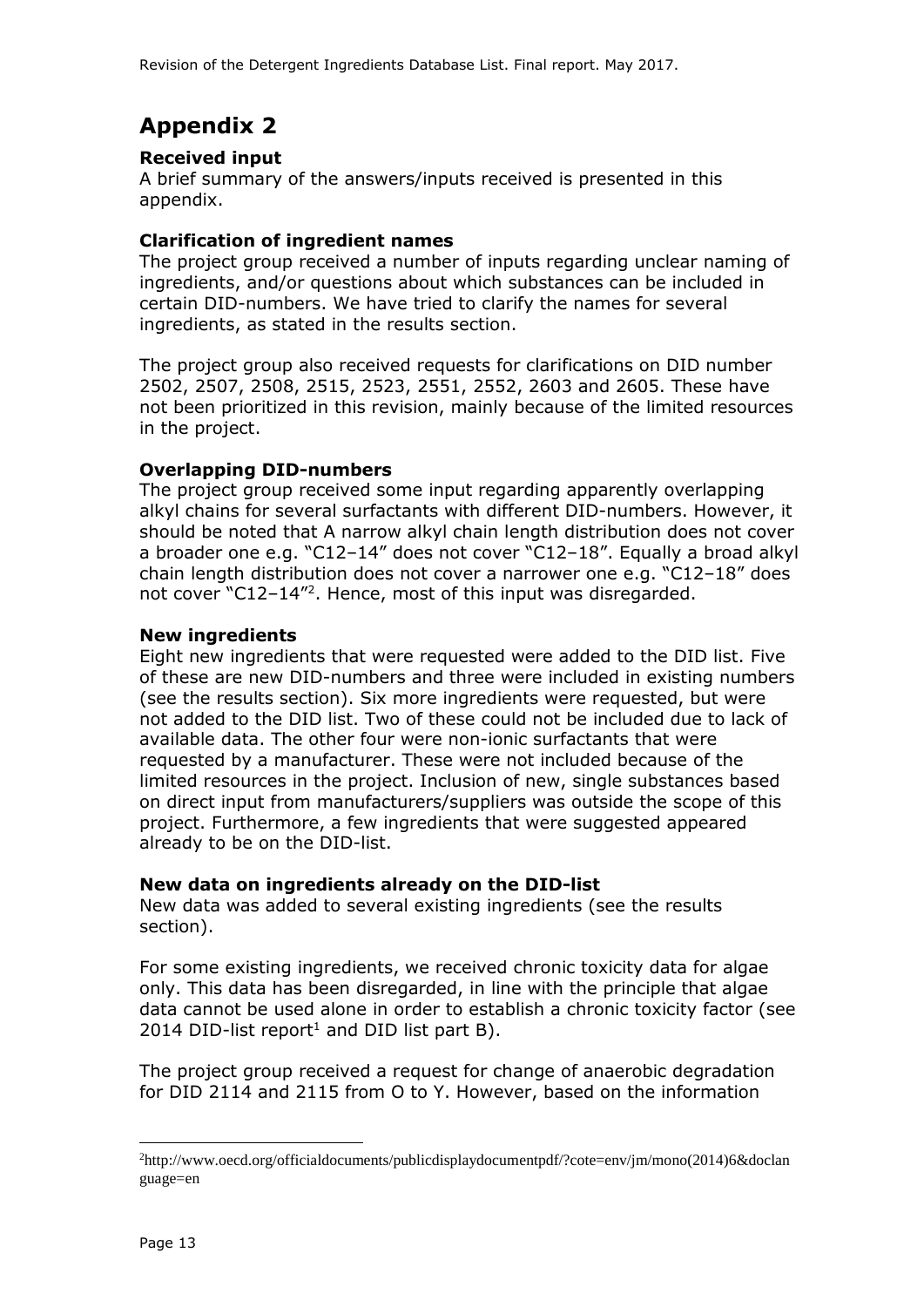## **Appendix 2**

### **Received input**

A brief summary of the answers/inputs received is presented in this appendix.

### **Clarification of ingredient names**

The project group received a number of inputs regarding unclear naming of ingredients, and/or questions about which substances can be included in certain DID-numbers. We have tried to clarify the names for several ingredients, as stated in the results section.

The project group also received requests for clarifications on DID number 2502, 2507, 2508, 2515, 2523, 2551, 2552, 2603 and 2605. These have not been prioritized in this revision, mainly because of the limited resources in the project.

### **Overlapping DID-numbers**

The project group received some input regarding apparently overlapping alkyl chains for several surfactants with different DID-numbers. However, it should be noted that A narrow alkyl chain length distribution does not cover a broader one e.g. "C12–14" does not cover "C12–18". Equally a broad alkyl chain length distribution does not cover a narrower one e.g. "C12–18" does not cover "C12-14"<sup>2</sup>. Hence, most of this input was disregarded.

#### **New ingredients**

Eight new ingredients that were requested were added to the DID list. Five of these are new DID-numbers and three were included in existing numbers (see the results section). Six more ingredients were requested, but were not added to the DID list. Two of these could not be included due to lack of available data. The other four were non-ionic surfactants that were requested by a manufacturer. These were not included because of the limited resources in the project. Inclusion of new, single substances based on direct input from manufacturers/suppliers was outside the scope of this project. Furthermore, a few ingredients that were suggested appeared already to be on the DID-list.

### **New data on ingredients already on the DID-list**

New data was added to several existing ingredients (see the results section).

For some existing ingredients, we received chronic toxicity data for algae only. This data has been disregarded, in line with the principle that algae data cannot be used alone in order to establish a chronic toxicity factor (see 2014 DID-list report<sup>1</sup> and DID list part B).

The project group received a request for change of anaerobic degradation for DID 2114 and 2115 from O to Y. However, based on the information

-

<sup>2</sup>http://www.oecd.org/officialdocuments/publicdisplaydocumentpdf/?cote=env/jm/mono(2014)6&doclan guage=en